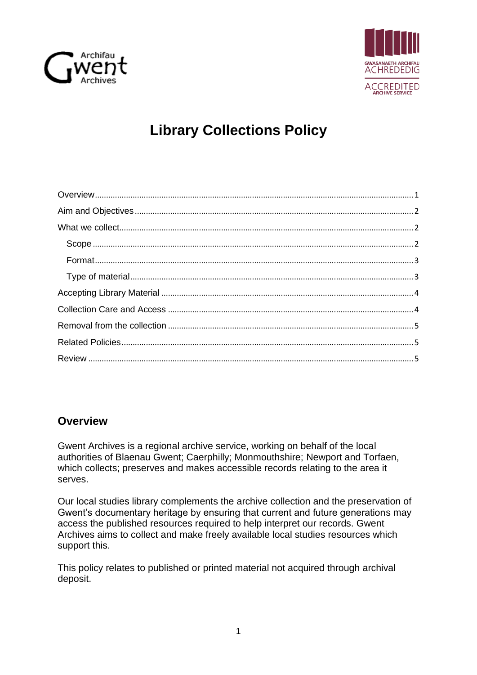



# **Library Collections Policy**

# <span id="page-0-0"></span>**Overview**

Gwent Archives is a regional archive service, working on behalf of the local authorities of Blaenau Gwent; Caerphilly; Monmouthshire; Newport and Torfaen, which collects; preserves and makes accessible records relating to the area it serves.

Our local studies library complements the archive collection and the preservation of Gwent's documentary heritage by ensuring that current and future generations may access the published resources required to help interpret our records. Gwent Archives aims to collect and make freely available local studies resources which support this.

This policy relates to published or printed material not acquired through archival deposit.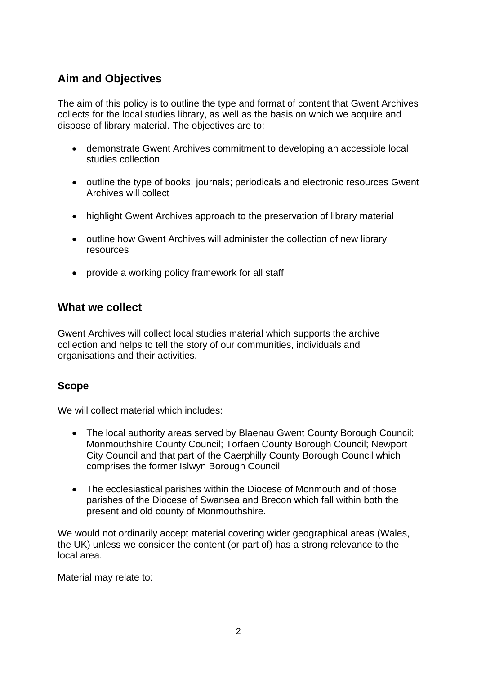# <span id="page-1-0"></span>**Aim and Objectives**

The aim of this policy is to outline the type and format of content that Gwent Archives collects for the local studies library, as well as the basis on which we acquire and dispose of library material. The objectives are to:

- demonstrate Gwent Archives commitment to developing an accessible local studies collection
- outline the type of books; journals; periodicals and electronic resources Gwent Archives will collect
- highlight Gwent Archives approach to the preservation of library material
- outline how Gwent Archives will administer the collection of new library resources
- provide a working policy framework for all staff

#### <span id="page-1-1"></span>**What we collect**

Gwent Archives will collect local studies material which supports the archive collection and helps to tell the story of our communities, individuals and organisations and their activities.

#### <span id="page-1-2"></span>**Scope**

We will collect material which includes:

- The local authority areas served by Blaenau Gwent County Borough Council; Monmouthshire County Council; Torfaen County Borough Council; Newport City Council and that part of the Caerphilly County Borough Council which comprises the former Islwyn Borough Council
- The ecclesiastical parishes within the Diocese of Monmouth and of those parishes of the Diocese of Swansea and Brecon which fall within both the present and old county of Monmouthshire.

We would not ordinarily accept material covering wider geographical areas (Wales, the UK) unless we consider the content (or part of) has a strong relevance to the local area.

Material may relate to: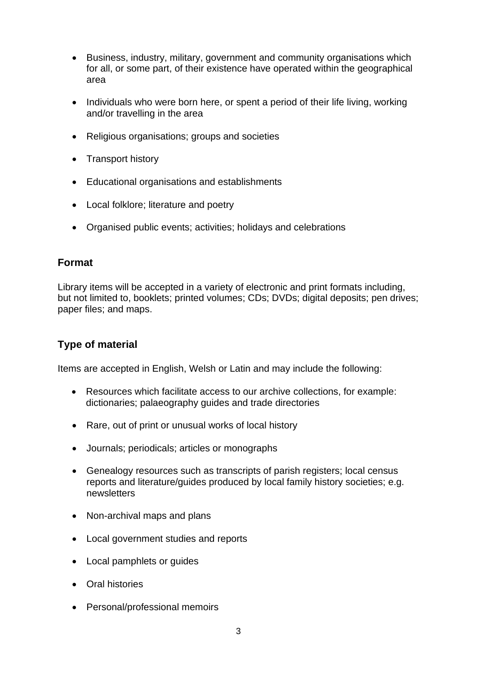- Business, industry, military, government and community organisations which for all, or some part, of their existence have operated within the geographical area
- Individuals who were born here, or spent a period of their life living, working and/or travelling in the area
- Religious organisations; groups and societies
- Transport history
- Educational organisations and establishments
- Local folklore; literature and poetry
- Organised public events; activities; holidays and celebrations

#### <span id="page-2-0"></span>**Format**

Library items will be accepted in a variety of electronic and print formats including, but not limited to, booklets; printed volumes; CDs; DVDs; digital deposits; pen drives; paper files; and maps.

#### <span id="page-2-1"></span>**Type of material**

Items are accepted in English, Welsh or Latin and may include the following:

- Resources which facilitate access to our archive collections, for example: dictionaries; palaeography guides and trade directories
- Rare, out of print or unusual works of local history
- Journals; periodicals; articles or monographs
- Genealogy resources such as transcripts of parish registers; local census reports and literature/guides produced by local family history societies; e.g. newsletters
- Non-archival maps and plans
- Local government studies and reports
- Local pamphlets or guides
- Oral histories
- Personal/professional memoirs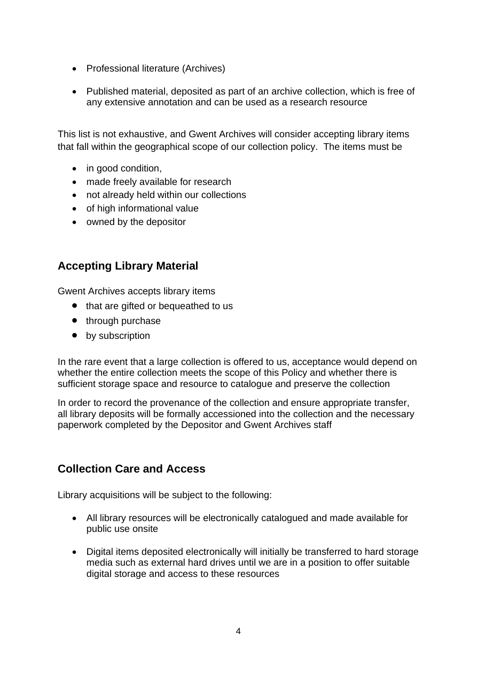- Professional literature (Archives)
- Published material, deposited as part of an archive collection, which is free of any extensive annotation and can be used as a research resource

This list is not exhaustive, and Gwent Archives will consider accepting library items that fall within the geographical scope of our collection policy. The items must be

- in good condition,
- made freely available for research
- not already held within our collections
- of high informational value
- owned by the depositor

## <span id="page-3-0"></span>**Accepting Library Material**

Gwent Archives accepts library items

- that are gifted or bequeathed to us
- through purchase
- by subscription

In the rare event that a large collection is offered to us, acceptance would depend on whether the entire collection meets the scope of this Policy and whether there is sufficient storage space and resource to catalogue and preserve the collection

In order to record the provenance of the collection and ensure appropriate transfer, all library deposits will be formally accessioned into the collection and the necessary paperwork completed by the Depositor and Gwent Archives staff

# <span id="page-3-1"></span>**Collection Care and Access**

Library acquisitions will be subject to the following:

- All library resources will be electronically catalogued and made available for public use onsite
- Digital items deposited electronically will initially be transferred to hard storage media such as external hard drives until we are in a position to offer suitable digital storage and access to these resources